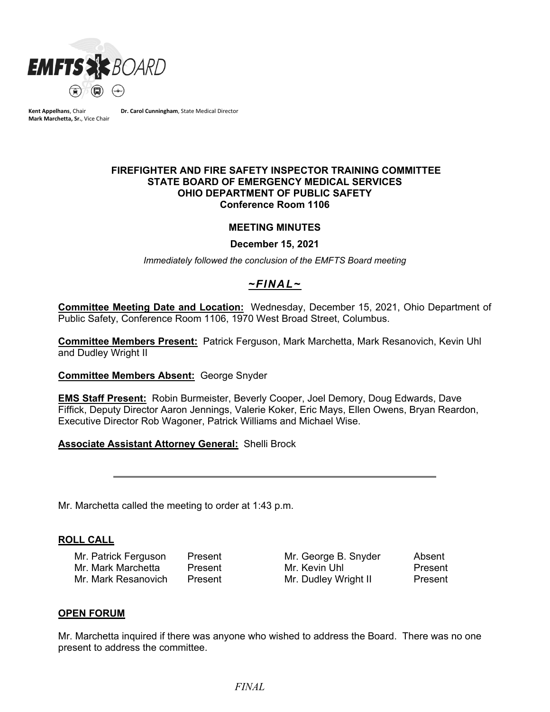

**Kent Appelhans**, Chair **Mark Marchetta, Sr.**, Vice Chair **Dr. Carol Cunningham**, State Medical Director

### **FIREFIGHTER AND FIRE SAFETY INSPECTOR TRAINING COMMITTEE STATE BOARD OF EMERGENCY MEDICAL SERVICES OHIO DEPARTMENT OF PUBLIC SAFETY Conference Room 1106**

### **MEETING MINUTES**

**December 15, 2021**

*Immediately followed the conclusion of the EMFTS Board meeting*

# *~FINAL~*

**Committee Meeting Date and Location:** Wednesday, December 15, 2021, Ohio Department of Public Safety, Conference Room 1106, 1970 West Broad Street, Columbus.

**Committee Members Present:** Patrick Ferguson, Mark Marchetta, Mark Resanovich, Kevin Uhl and Dudley Wright II

**Committee Members Absent:** George Snyder

**EMS Staff Present:** Robin Burmeister, Beverly Cooper, Joel Demory, Doug Edwards, Dave Fiffick, Deputy Director Aaron Jennings, Valerie Koker, Eric Mays, Ellen Owens, Bryan Reardon, Executive Director Rob Wagoner, Patrick Williams and Michael Wise.

**Associate Assistant Attorney General:** Shelli Brock

Mr. Marchetta called the meeting to order at 1:43 p.m.

### **ROLL CALL**

Mr. Patrick Ferguson Present Mr. George B. Snyder Absent Mr. Mark Marchetta Present Mr. Kevin Uhl Present Mr. Mark Resanovich Present Mr. Dudley Wright II Present

#### **OPEN FORUM**

Mr. Marchetta inquired if there was anyone who wished to address the Board. There was no one present to address the committee.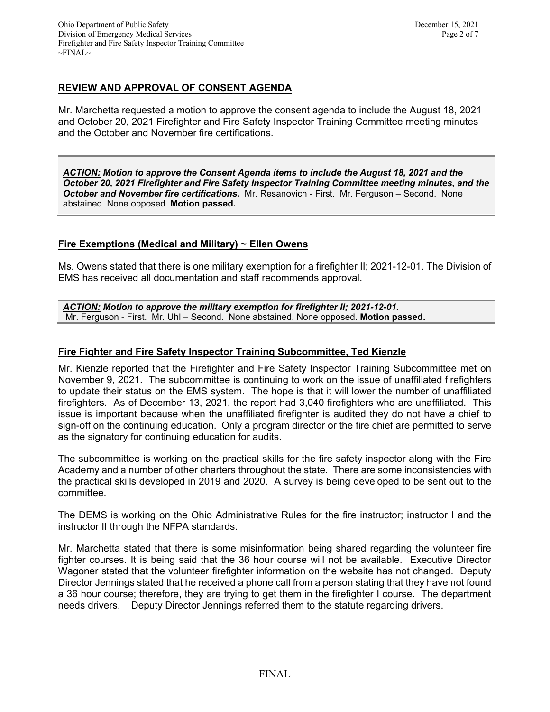# **REVIEW AND APPROVAL OF CONSENT AGENDA**

Mr. Marchetta requested a motion to approve the consent agenda to include the August 18, 2021 and October 20, 2021 Firefighter and Fire Safety Inspector Training Committee meeting minutes and the October and November fire certifications.

*ACTION: Motion to approve the Consent Agenda items to include the August 18, 2021 and the October 20, 2021 Firefighter and Fire Safety Inspector Training Committee meeting minutes, and the October and November fire certifications.* Mr. Resanovich - First. Mr. Ferguson – Second. None abstained. None opposed. **Motion passed.**

## **Fire Exemptions (Medical and Military) ~ Ellen Owens**

Ms. Owens stated that there is one military exemption for a firefighter II; 2021-12-01. The Division of EMS has received all documentation and staff recommends approval.

*ACTION: Motion to approve the military exemption for firefighter II; 2021-12-01.*  Mr. Ferguson - First. Mr. Uhl – Second. None abstained. None opposed. **Motion passed.**

## **Fire Fighter and Fire Safety Inspector Training Subcommittee, Ted Kienzle**

Mr. Kienzle reported that the Firefighter and Fire Safety Inspector Training Subcommittee met on November 9, 2021. The subcommittee is continuing to work on the issue of unaffiliated firefighters to update their status on the EMS system. The hope is that it will lower the number of unaffiliated firefighters. As of December 13, 2021, the report had 3,040 firefighters who are unaffiliated. This issue is important because when the unaffiliated firefighter is audited they do not have a chief to sign-off on the continuing education. Only a program director or the fire chief are permitted to serve as the signatory for continuing education for audits.

The subcommittee is working on the practical skills for the fire safety inspector along with the Fire Academy and a number of other charters throughout the state. There are some inconsistencies with the practical skills developed in 2019 and 2020. A survey is being developed to be sent out to the committee.

The DEMS is working on the Ohio Administrative Rules for the fire instructor; instructor I and the instructor II through the NFPA standards.

Mr. Marchetta stated that there is some misinformation being shared regarding the volunteer fire fighter courses. It is being said that the 36 hour course will not be available. Executive Director Wagoner stated that the volunteer firefighter information on the website has not changed. Deputy Director Jennings stated that he received a phone call from a person stating that they have not found a 36 hour course; therefore, they are trying to get them in the firefighter I course. The department needs drivers. Deputy Director Jennings referred them to the statute regarding drivers.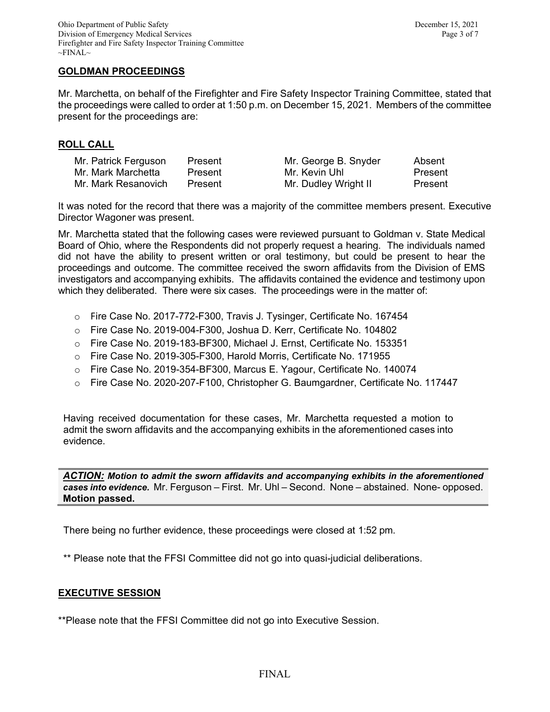### **GOLDMAN PROCEEDINGS**

Mr. Marchetta, on behalf of the Firefighter and Fire Safety Inspector Training Committee, stated that the proceedings were called to order at 1:50 p.m. on December 15, 2021. Members of the committee present for the proceedings are:

### **ROLL CALL**

| Mr. Patrick Ferguson | Present | Mr. George B. Snyder | Absent  |
|----------------------|---------|----------------------|---------|
| Mr. Mark Marchetta   | Present | Mr. Kevin Uhl        | Present |
| Mr. Mark Resanovich  | Present | Mr. Dudley Wright II | Present |

It was noted for the record that there was a majority of the committee members present. Executive Director Wagoner was present.

Mr. Marchetta stated that the following cases were reviewed pursuant to Goldman v. State Medical Board of Ohio, where the Respondents did not properly request a hearing. The individuals named did not have the ability to present written or oral testimony, but could be present to hear the proceedings and outcome. The committee received the sworn affidavits from the Division of EMS investigators and accompanying exhibits. The affidavits contained the evidence and testimony upon which they deliberated. There were six cases. The proceedings were in the matter of:

- o Fire Case No. 2017-772-F300, Travis J. Tysinger, Certificate No. 167454
- o Fire Case No. 2019-004-F300, Joshua D. Kerr, Certificate No. 104802
- o Fire Case No. 2019-183-BF300, Michael J. Ernst, Certificate No. 153351
- o Fire Case No. 2019-305-F300, Harold Morris, Certificate No. 171955
- o Fire Case No. 2019-354-BF300, Marcus E. Yagour, Certificate No. 140074
- o Fire Case No. 2020-207-F100, Christopher G. Baumgardner, Certificate No. 117447

Having received documentation for these cases, Mr. Marchetta requested a motion to admit the sworn affidavits and the accompanying exhibits in the aforementioned cases into evidence.

*ACTION: Motion to admit the sworn affidavits and accompanying exhibits in the aforementioned cases into evidence.* Mr. Ferguson – First. Mr. Uhl – Second. None – abstained. None- opposed. **Motion passed.**

There being no further evidence, these proceedings were closed at 1:52 pm.

\*\* Please note that the FFSI Committee did not go into quasi-judicial deliberations.

### **EXECUTIVE SESSION**

\*\*Please note that the FFSI Committee did not go into Executive Session.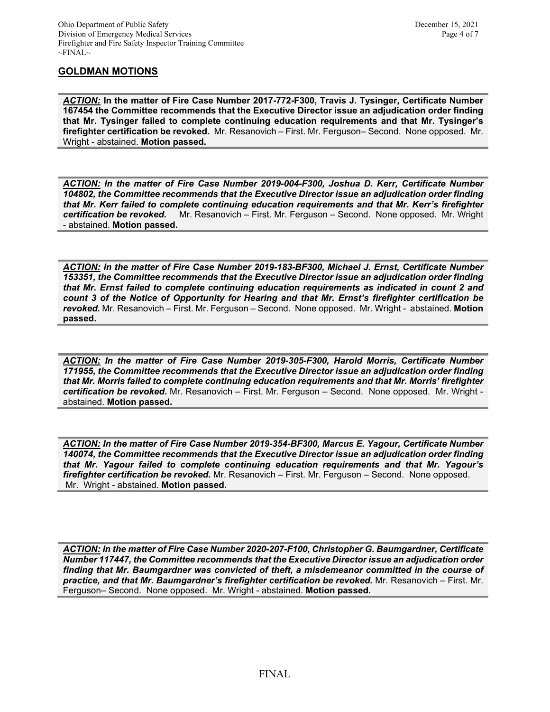## **GOLDMAN MOTIONS**

*ACTION:* **In the matter of Fire Case Number 2017-772-F300, Travis J. Tysinger, Certificate Number 167454 the Committee recommends that the Executive Director issue an adjudication order finding that Mr. Tysinger failed to complete continuing education requirements and that Mr. Tysinger's firefighter certification be revoked.** Mr. Resanovich – First. Mr. Ferguson– Second. None opposed. Mr. Wright - abstained. **Motion passed.** 

*ACTION: In the matter of Fire Case Number 2019-004-F300, Joshua D. Kerr, Certificate Number 104802, the Committee recommends that the Executive Director issue an adjudication order finding that Mr. Kerr failed to complete continuing education requirements and that Mr. Kerr's firefighter certification be revoked.* Mr. Resanovich – First. Mr. Ferguson – Second. None opposed. Mr. Wright - abstained. **Motion passed.** 

*ACTION: In the matter of Fire Case Number 2019-183-BF300, Michael J. Ernst, Certificate Number 153351, the Committee recommends that the Executive Director issue an adjudication order finding that Mr. Ernst failed to complete continuing education requirements as indicated in count 2 and count 3 of the Notice of Opportunity for Hearing and that Mr. Ernst's firefighter certification be revoked.* Mr. Resanovich – First. Mr. Ferguson – Second. None opposed. Mr. Wright - abstained. **Motion passed.** 

*ACTION: In the matter of Fire Case Number 2019-305-F300, Harold Morris, Certificate Number 171955, the Committee recommends that the Executive Director issue an adjudication order finding that Mr. Morris failed to complete continuing education requirements and that Mr. Morris' firefighter certification be revoked.* Mr. Resanovich – First. Mr. Ferguson – Second. None opposed. Mr. Wright abstained. **Motion passed.** 

*ACTION: In the matter of Fire Case Number 2019-354-BF300, Marcus E. Yagour, Certificate Number 140074, the Committee recommends that the Executive Director issue an adjudication order finding that Mr. Yagour failed to complete continuing education requirements and that Mr. Yagour's firefighter certification be revoked.* Mr. Resanovich – First. Mr. Ferguson – Second. None opposed. Mr. Wright - abstained. **Motion passed.** 

*ACTION: In the matter of Fire Case Number 2020-207-F100, Christopher G. Baumgardner, Certificate Number 117447, the Committee recommends that the Executive Director issue an adjudication order finding that Mr. Baumgardner was convicted of theft, a misdemeanor committed in the course of practice, and that Mr. Baumgardner's firefighter certification be revoked.* Mr. Resanovich – First. Mr. Ferguson– Second. None opposed. Mr. Wright - abstained. **Motion passed.**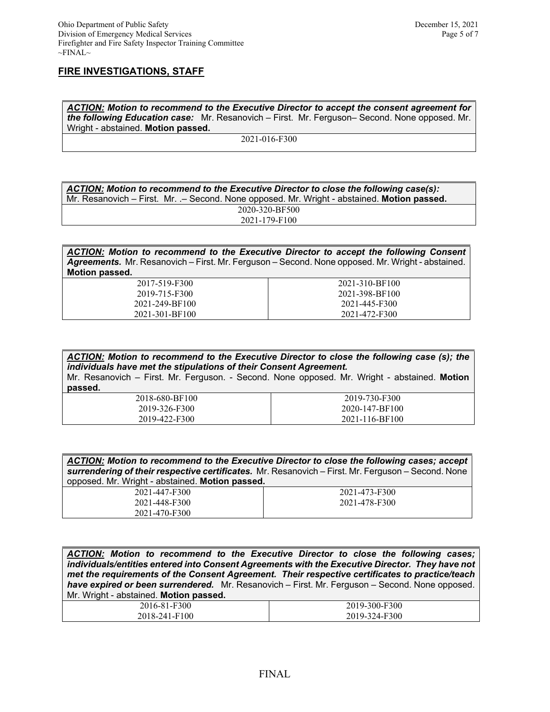#### **FIRE INVESTIGATIONS, STAFF**

*ACTION: Motion to recommend to the Executive Director to accept the consent agreement for the following Education case:* Mr. Resanovich – First. Mr. Ferguson– Second. None opposed. Mr. Wright - abstained. **Motion passed.** 

2021-016-F300

| ACTION: Motion to recommend to the Executive Director to close the following case(s):       |  |  |
|---------------------------------------------------------------------------------------------|--|--|
| Mr. Resanovich – First. Mr. .– Second. None opposed. Mr. Wright - abstained. Motion passed. |  |  |
| 2020-320-BF500                                                                              |  |  |
| 2021-179-F100                                                                               |  |  |

*ACTION: Motion to recommend to the Executive Director to accept the following Consent Agreements.* Mr. Resanovich – First. Mr. Ferguson – Second. None opposed. Mr. Wright - abstained. **Motion passed.** 

| 2017-519-F300  | 2021-310-BF100 |
|----------------|----------------|
| 2019-715-F300  | 2021-398-BF100 |
| 2021-249-BF100 | 2021-445-F300  |
| 2021-301-BF100 | 2021-472-F300  |

| ACTION: Motion to recommend to the Executive Director to close the following case (s); the<br>individuals have met the stipulations of their Consent Agreement. |                |  |
|-----------------------------------------------------------------------------------------------------------------------------------------------------------------|----------------|--|
| Mr. Resanovich - First. Mr. Ferguson. - Second. None opposed. Mr. Wright - abstained. Motion                                                                    |                |  |
| passed.                                                                                                                                                         |                |  |
| 2018-680-BF100                                                                                                                                                  | 2019-730-F300  |  |
| 2019-326-F300                                                                                                                                                   | 2020-147-BF100 |  |
| 2019-422-F300                                                                                                                                                   | 2021-116-BF100 |  |

| ACTION: Motion to recommend to the Executive Director to close the following cases; accept<br>surrendering of their respective certificates. Mr. Resanovich – First. Mr. Ferguson – Second. None |               |  |
|--------------------------------------------------------------------------------------------------------------------------------------------------------------------------------------------------|---------------|--|
| opposed. Mr. Wright - abstained. Motion passed.                                                                                                                                                  |               |  |
| 2021-447-F300                                                                                                                                                                                    | 2021-473-F300 |  |
| 2021-448-F300                                                                                                                                                                                    | 2021-478-F300 |  |
| 2021-470-F300                                                                                                                                                                                    |               |  |

|                                                                                                 | ACTION: Motion to recommend to the Executive Director to close the following cases; |  |
|-------------------------------------------------------------------------------------------------|-------------------------------------------------------------------------------------|--|
| individuals/entities entered into Consent Agreements with the Executive Director. They have not |                                                                                     |  |
| met the requirements of the Consent Agreement. Their respective certificates to practice/teach  |                                                                                     |  |
| have expired or been surrendered. Mr. Resanovich – First. Mr. Ferguson – Second. None opposed.  |                                                                                     |  |
| Mr. Wright - abstained. Motion passed.                                                          |                                                                                     |  |
| 2016-81-F300                                                                                    | 2019-300-F300                                                                       |  |
| 2018-241-F100                                                                                   | 2019-324-F300                                                                       |  |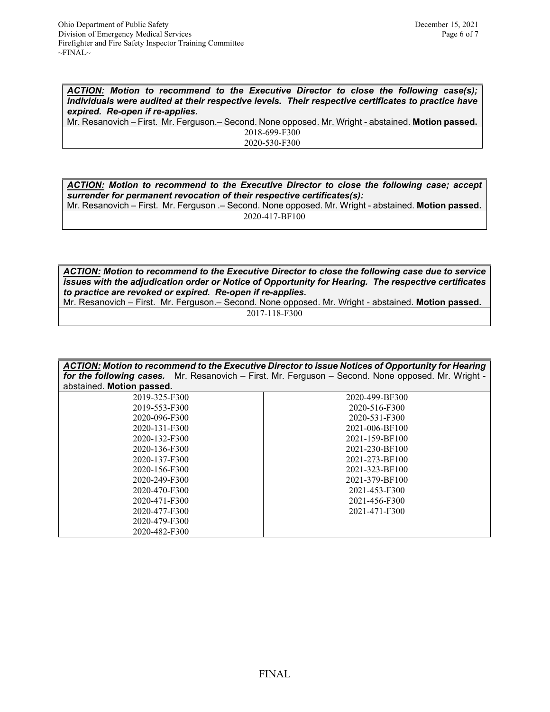*ACTION: Motion to recommend to the Executive Director to close the following case(s); individuals were audited at their respective levels. Their respective certificates to practice have expired. Re-open if re-applies.*

Mr. Resanovich – First. Mr. Ferguson.– Second. None opposed. Mr. Wright - abstained. **Motion passed.**  2018-699-F300

2020-530-F300

*ACTION: Motion to recommend to the Executive Director to close the following case; accept surrender for permanent revocation of their respective certificates(s):* 

Mr. Resanovich – First. Mr. Ferguson .– Second. None opposed. Mr. Wright - abstained. **Motion passed.**  2020-417-BF100

*ACTION: Motion to recommend to the Executive Director to close the following case due to service issues with the adjudication order or Notice of Opportunity for Hearing. The respective certificates to practice are revoked or expired. Re-open if re-applies.*

Mr. Resanovich – First. Mr. Ferguson.– Second. None opposed. Mr. Wright - abstained. **Motion passed.**  2017-118-F300

| ACTION: Motion to recommend to the Executive Director to issue Notices of Opportunity for Hearing<br>for the following cases. Mr. Resanovich - First. Mr. Ferguson - Second. None opposed. Mr. Wright -<br>abstained. Motion passed. |                |  |
|--------------------------------------------------------------------------------------------------------------------------------------------------------------------------------------------------------------------------------------|----------------|--|
| 2019-325-F300                                                                                                                                                                                                                        | 2020-499-BF300 |  |
| 2019-553-F300                                                                                                                                                                                                                        | 2020-516-F300  |  |
| 2020-096-F300                                                                                                                                                                                                                        | 2020-531-F300  |  |
| 2020-131-F300                                                                                                                                                                                                                        | 2021-006-BF100 |  |
| 2020-132-F300                                                                                                                                                                                                                        | 2021-159-BF100 |  |
| 2020-136-F300                                                                                                                                                                                                                        | 2021-230-BF100 |  |
| 2020-137-F300                                                                                                                                                                                                                        | 2021-273-BF100 |  |
| 2020-156-F300                                                                                                                                                                                                                        | 2021-323-BF100 |  |
| 2020-249-F300                                                                                                                                                                                                                        | 2021-379-BF100 |  |
| 2020-470-F300                                                                                                                                                                                                                        | 2021-453-F300  |  |
| 2020-471-F300                                                                                                                                                                                                                        | 2021-456-F300  |  |
| 2020-477-F300                                                                                                                                                                                                                        | 2021-471-F300  |  |
| 2020-479-F300                                                                                                                                                                                                                        |                |  |
| 2020-482-F300                                                                                                                                                                                                                        |                |  |